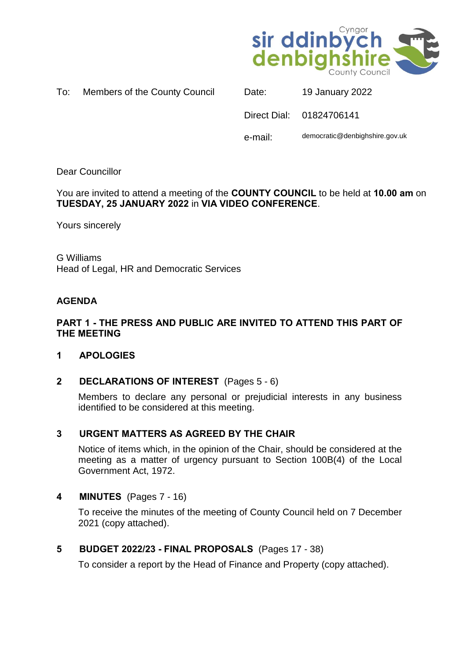

|  | To: | Members of the County Council |  |  |  |
|--|-----|-------------------------------|--|--|--|
|--|-----|-------------------------------|--|--|--|

|         | Direct Dial: 01824706141       |  |  |
|---------|--------------------------------|--|--|
| e-mail: | democratic@denbighshire.gov.uk |  |  |

Date: 19 January 2022

Dear Councillor

You are invited to attend a meeting of the **COUNTY COUNCIL** to be held at **10.00 am** on **TUESDAY, 25 JANUARY 2022** in **VIA VIDEO CONFERENCE**.

Yours sincerely

G Williams Head of Legal, HR and Democratic Services

### **AGENDA**

### **PART 1 - THE PRESS AND PUBLIC ARE INVITED TO ATTEND THIS PART OF THE MEETING**

# **1 APOLOGIES**

# **2 DECLARATIONS OF INTEREST** (Pages 5 - 6)

Members to declare any personal or prejudicial interests in any business identified to be considered at this meeting.

# **3 URGENT MATTERS AS AGREED BY THE CHAIR**

Notice of items which, in the opinion of the Chair, should be considered at the meeting as a matter of urgency pursuant to Section 100B(4) of the Local Government Act, 1972.

#### **4 MINUTES** (Pages 7 - 16)

To receive the minutes of the meeting of County Council held on 7 December 2021 (copy attached).

#### **5 BUDGET 2022/23 - FINAL PROPOSALS** (Pages 17 - 38)

To consider a report by the Head of Finance and Property (copy attached).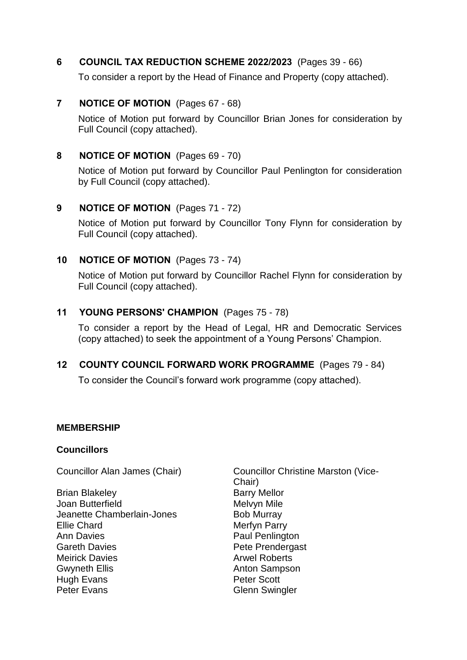### **6 COUNCIL TAX REDUCTION SCHEME 2022/2023** (Pages 39 - 66)

To consider a report by the Head of Finance and Property (copy attached).

### **7 NOTICE OF MOTION** (Pages 67 - 68)

Notice of Motion put forward by Councillor Brian Jones for consideration by Full Council (copy attached).

### **8 NOTICE OF MOTION** (Pages 69 - 70)

Notice of Motion put forward by Councillor Paul Penlington for consideration by Full Council (copy attached).

### **9 NOTICE OF MOTION** (Pages 71 - 72)

Notice of Motion put forward by Councillor Tony Flynn for consideration by Full Council (copy attached).

### **10 NOTICE OF MOTION** (Pages 73 - 74)

Notice of Motion put forward by Councillor Rachel Flynn for consideration by Full Council (copy attached).

### **11 YOUNG PERSONS' CHAMPION** (Pages 75 - 78)

To consider a report by the Head of Legal, HR and Democratic Services (copy attached) to seek the appointment of a Young Persons' Champion.

#### **12 COUNTY COUNCIL FORWARD WORK PROGRAMME** (Pages 79 - 84)

To consider the Council's forward work programme (copy attached).

#### **MEMBERSHIP**

#### **Councillors**

Brian Blakeley Joan Butterfield Jeanette Chamberlain-Jones Ellie Chard Ann Davies Gareth Davies Meirick Davies Gwyneth Ellis Hugh Evans Peter Evans

Councillor Alan James (Chair) Councillor Christine Marston (Vice-Chair) Barry Mellor Melvyn Mile Bob Murray Merfyn Parry Paul Penlington Pete Prendergast Arwel Roberts Anton Sampson Peter Scott Glenn Swingler